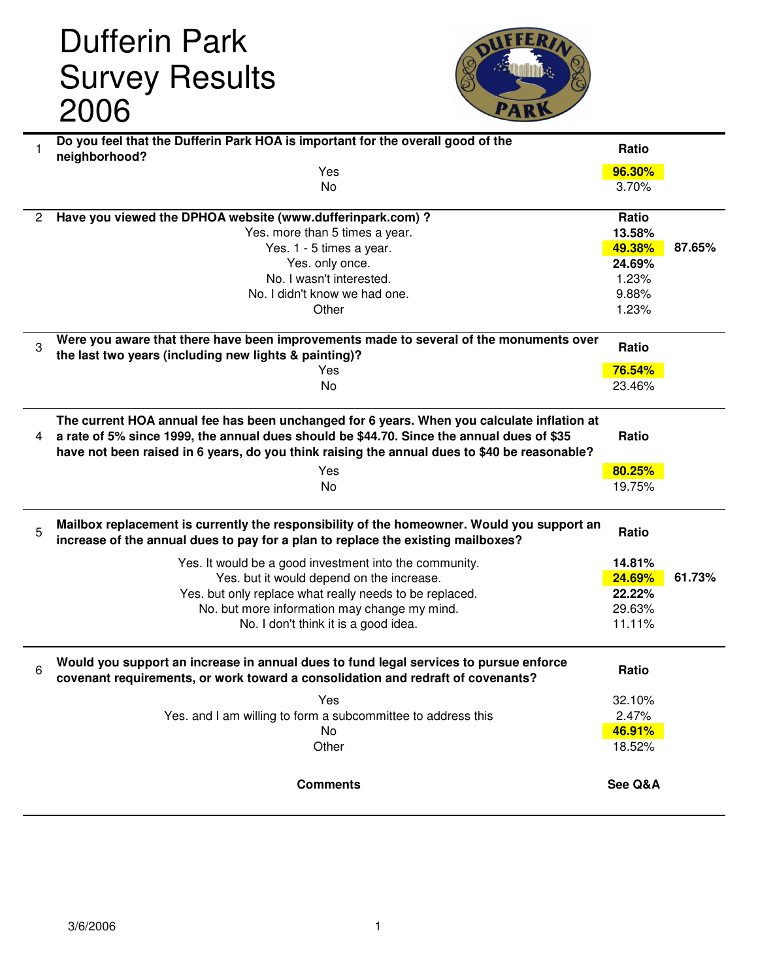## Dufferin Park Survey Results 2006



| 1              | Do you feel that the Dufferin Park HOA is important for the overall good of the              | Ratio            |        |
|----------------|----------------------------------------------------------------------------------------------|------------------|--------|
|                | neighborhood?<br>Yes                                                                         | 96.30%           |        |
|                | No                                                                                           | 3.70%            |        |
|                |                                                                                              |                  |        |
| $\overline{2}$ | Have you viewed the DPHOA website (www.dufferinpark.com) ?                                   | Ratio            |        |
|                | Yes. more than 5 times a year.                                                               | 13.58%           |        |
|                | Yes. 1 - 5 times a year.                                                                     | 49.38%           | 87.65% |
|                | Yes. only once.                                                                              | 24.69%           |        |
|                | No. I wasn't interested.                                                                     | 1.23%            |        |
|                | No. I didn't know we had one.                                                                | 9.88%            |        |
|                | Other                                                                                        | 1.23%            |        |
|                |                                                                                              |                  |        |
| 3              | Were you aware that there have been improvements made to several of the monuments over       | Ratio            |        |
|                | the last two years (including new lights & painting)?                                        |                  |        |
|                | Yes                                                                                          | 76.54%           |        |
|                | No                                                                                           | 23.46%           |        |
|                |                                                                                              |                  |        |
|                | The current HOA annual fee has been unchanged for 6 years. When you calculate inflation at   |                  |        |
| 4              | a rate of 5% since 1999, the annual dues should be \$44.70. Since the annual dues of \$35    | Ratio            |        |
|                | have not been raised in 6 years, do you think raising the annual dues to \$40 be reasonable? |                  |        |
|                | Yes                                                                                          | 80.25%           |        |
|                | No                                                                                           | 19.75%           |        |
|                |                                                                                              |                  |        |
|                | Mailbox replacement is currently the responsibility of the homeowner. Would you support an   |                  |        |
| 5              | increase of the annual dues to pay for a plan to replace the existing mailboxes?             | Ratio            |        |
|                |                                                                                              |                  |        |
|                | Yes. It would be a good investment into the community.                                       | 14.81%           |        |
|                | Yes. but it would depend on the increase.                                                    | 24.69%           | 61.73% |
|                | Yes. but only replace what really needs to be replaced.                                      | 22.22%<br>29.63% |        |
|                | No. but more information may change my mind.                                                 | 11.11%           |        |
|                | No. I don't think it is a good idea.                                                         |                  |        |
|                |                                                                                              |                  |        |
| 6              | Would you support an increase in annual dues to fund legal services to pursue enforce        | Ratio            |        |
|                | covenant requirements, or work toward a consolidation and redraft of covenants?              |                  |        |
|                | Yes                                                                                          | 32.10%           |        |
|                | Yes. and I am willing to form a subcommittee to address this                                 | 2.47%            |        |
|                | No                                                                                           | 46.91%           |        |
|                | Other                                                                                        | 18.52%           |        |
|                |                                                                                              |                  |        |
|                | <b>Comments</b>                                                                              | See Q&A          |        |
|                |                                                                                              |                  |        |